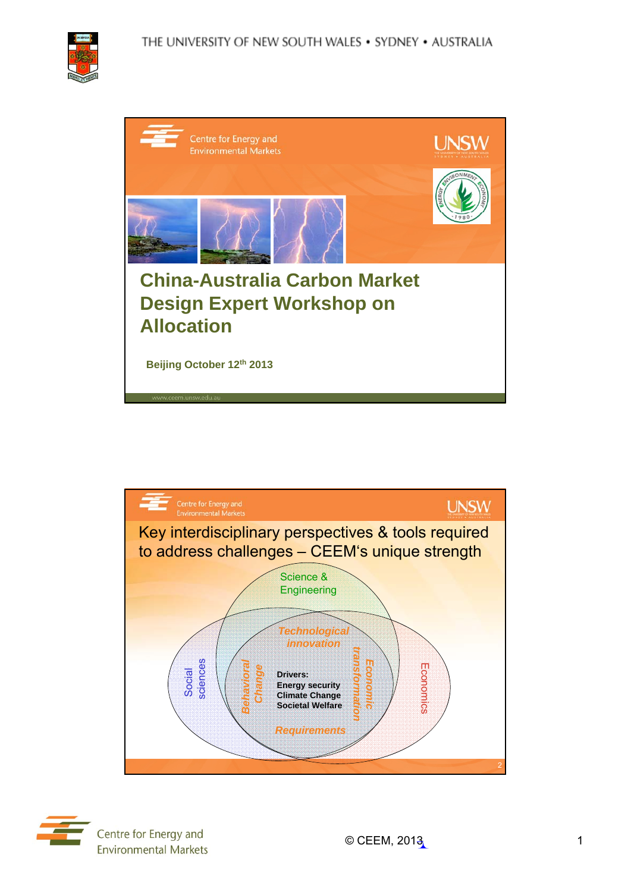

| Centre for Energy and<br><b>Environmental Markets</b><br>ERG<br><b>China-Australia Carbon Market</b><br><b>Design Expert Workshop on</b><br><b>Allocation</b><br>Beijing October 12th 2013 |  |
|--------------------------------------------------------------------------------------------------------------------------------------------------------------------------------------------|--|
|                                                                                                                                                                                            |  |
|                                                                                                                                                                                            |  |
|                                                                                                                                                                                            |  |
| www.ceem.unsw.edu.au                                                                                                                                                                       |  |



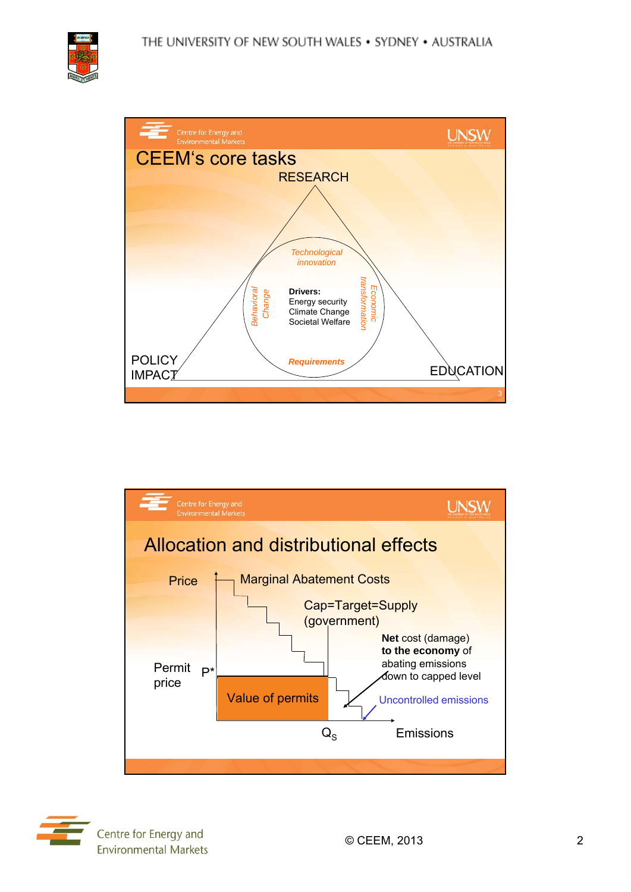





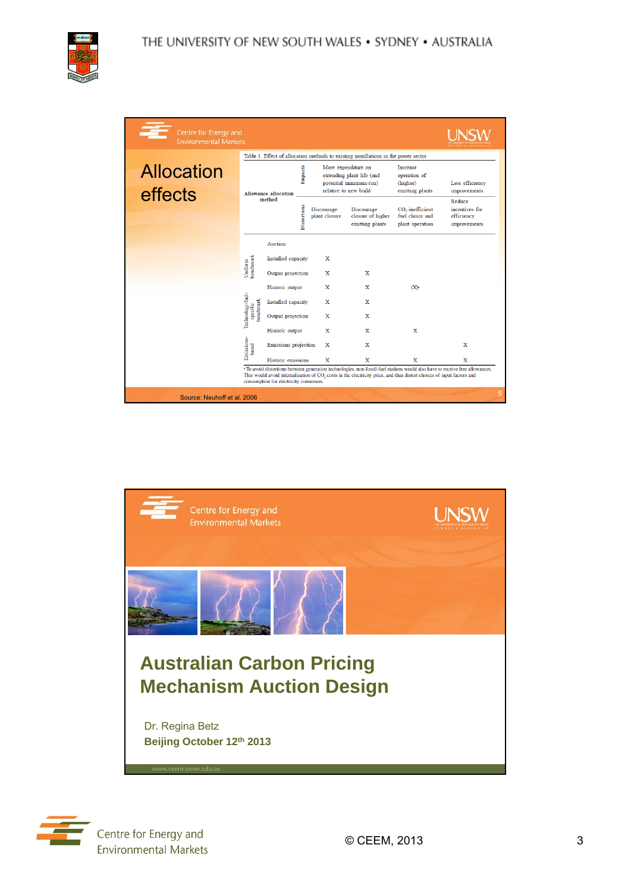

|                              |                                           | Table 1. Effect of allocation methods to existing installations in the power sector |                    |                             |                                                                                                     |                                                                    |                                                        |  |  |
|------------------------------|-------------------------------------------|-------------------------------------------------------------------------------------|--------------------|-----------------------------|-----------------------------------------------------------------------------------------------------|--------------------------------------------------------------------|--------------------------------------------------------|--|--|
| <b>Allocation</b><br>effects |                                           | <b>Allowance allocation</b>                                                         | Impacts            |                             | More expenditure on<br>extending plant life (and<br>potential minimum-run)<br>relative to new build | <b>Increase</b><br>operation of<br>(higher)<br>emitting plants     | Less efficiency<br>improvements                        |  |  |
|                              |                                           | method                                                                              | <b>Distortions</b> | Discourage<br>plant closure | Discourage<br>closure of higher<br>emitting plants                                                  | CO <sub>2</sub> -inefficient<br>fuel choice and<br>plant operation | Reduce<br>incentives for<br>efficiency<br>improvements |  |  |
|                              |                                           | Auction                                                                             |                    |                             |                                                                                                     |                                                                    |                                                        |  |  |
|                              |                                           | Installed capacity                                                                  |                    | x                           |                                                                                                     |                                                                    |                                                        |  |  |
|                              | Uniform<br>benchmark                      | Output projection                                                                   |                    | х                           | X                                                                                                   |                                                                    |                                                        |  |  |
|                              |                                           | Historic output                                                                     |                    | x                           | $\mathbf x$                                                                                         | (X)                                                                |                                                        |  |  |
|                              |                                           | Installed capacity                                                                  |                    | х                           | x                                                                                                   |                                                                    |                                                        |  |  |
|                              | Technology/fuel-<br>specific<br>benchmark | Output projection                                                                   |                    | x                           | x                                                                                                   |                                                                    |                                                        |  |  |
|                              |                                           | Historic output                                                                     |                    | X                           | $\mathbf x$                                                                                         | x                                                                  |                                                        |  |  |
|                              | Emissions-<br>based                       | Emissions projection                                                                |                    | x                           | $\mathbf x$                                                                                         |                                                                    | x                                                      |  |  |
|                              |                                           | Historic emissions                                                                  |                    | X                           | $\mathbf x$                                                                                         | x                                                                  | x                                                      |  |  |



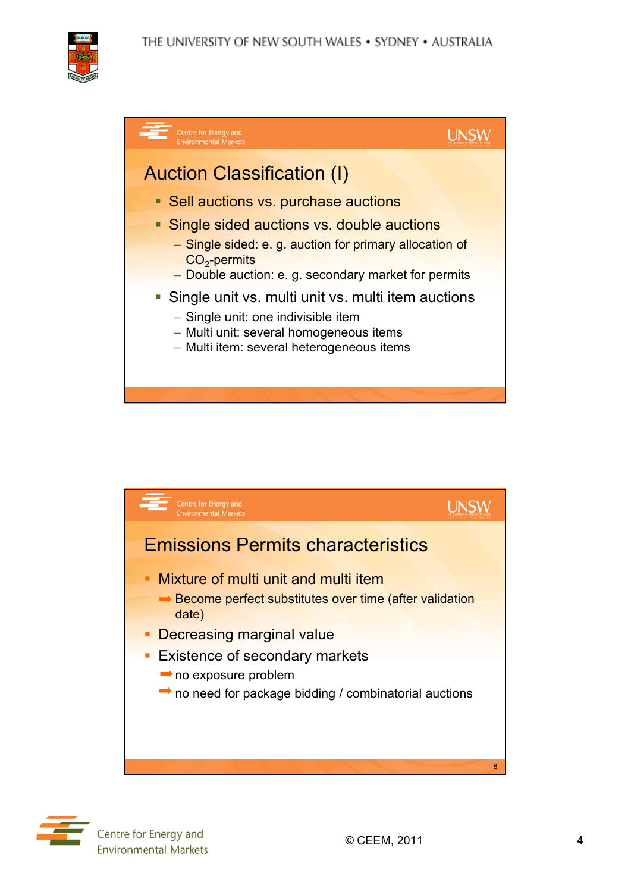







Centre for Energy and **Environmental Markets**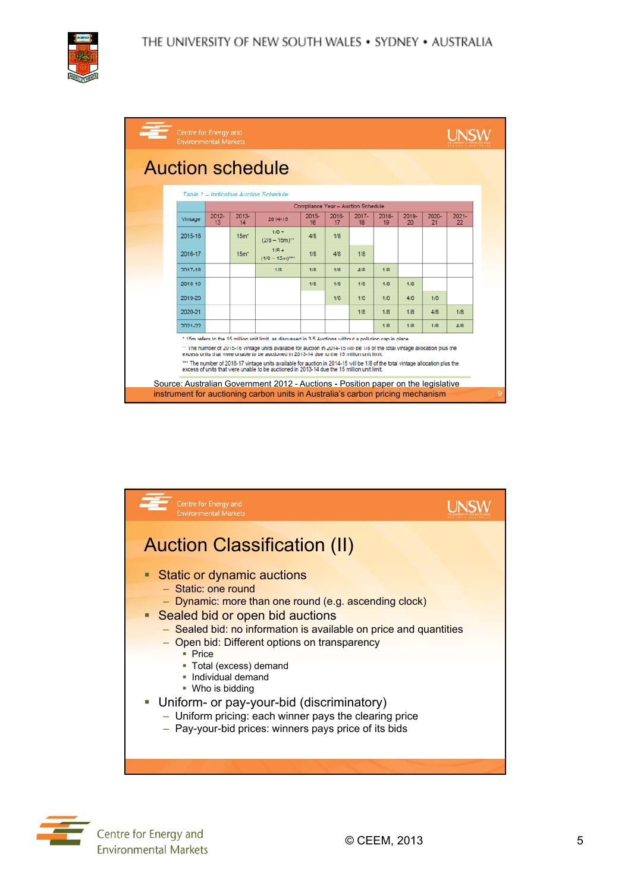| Centre for Energy and<br><b>Environmental Markets</b>                                                                                                                                                                                                                                                                                                                                                                                                                                                                                                                                                                                                       |         |                |               |                                                                                |                |             |                                    |                |             |                |                |   |
|-------------------------------------------------------------------------------------------------------------------------------------------------------------------------------------------------------------------------------------------------------------------------------------------------------------------------------------------------------------------------------------------------------------------------------------------------------------------------------------------------------------------------------------------------------------------------------------------------------------------------------------------------------------|---------|----------------|---------------|--------------------------------------------------------------------------------|----------------|-------------|------------------------------------|----------------|-------------|----------------|----------------|---|
| <b>Auction schedule</b>                                                                                                                                                                                                                                                                                                                                                                                                                                                                                                                                                                                                                                     |         |                |               |                                                                                |                |             |                                    |                |             |                |                |   |
| Table 1 - Indicative Auction Schedule                                                                                                                                                                                                                                                                                                                                                                                                                                                                                                                                                                                                                       |         |                |               |                                                                                |                |             |                                    |                |             |                |                |   |
|                                                                                                                                                                                                                                                                                                                                                                                                                                                                                                                                                                                                                                                             |         |                |               |                                                                                |                |             | Compliance Year - Auction Schedule |                |             |                |                |   |
|                                                                                                                                                                                                                                                                                                                                                                                                                                                                                                                                                                                                                                                             | Vintage | $2012 -$<br>13 | $2013-$<br>14 | $2014 - 15$                                                                    | $2015 -$<br>16 | 2016-<br>17 | $2017 -$<br>18                     | $2018 -$<br>19 | 2019-<br>20 | $2020 -$<br>21 | $2021 -$<br>22 |   |
|                                                                                                                                                                                                                                                                                                                                                                                                                                                                                                                                                                                                                                                             | 2015-16 |                | $15m*$        | $1/8 +$<br>$(2/8 - 15m)^{**}$                                                  | 4/8            | 1/8         |                                    |                |             |                |                |   |
|                                                                                                                                                                                                                                                                                                                                                                                                                                                                                                                                                                                                                                                             | 2016-17 |                | $15m*$        | $1/8 +$<br>$(1/8 - 15m)^{***}$                                                 | 1/8            | 4/8         | 1/8                                |                |             |                |                |   |
|                                                                                                                                                                                                                                                                                                                                                                                                                                                                                                                                                                                                                                                             | 2017-18 |                |               | 1/R                                                                            | 1/R            | 1/R         | $\frac{d}{R}$                      | 1/R            |             |                |                |   |
|                                                                                                                                                                                                                                                                                                                                                                                                                                                                                                                                                                                                                                                             | 2018-19 |                |               |                                                                                | 1/R            | 1/R         | 1/R                                | A/R            | 1/R         |                |                |   |
|                                                                                                                                                                                                                                                                                                                                                                                                                                                                                                                                                                                                                                                             | 2019-20 |                |               |                                                                                |                | 1/8         | 1/8                                | 1/B            | 4/8         | 1/B            |                |   |
|                                                                                                                                                                                                                                                                                                                                                                                                                                                                                                                                                                                                                                                             | 2020-21 |                |               |                                                                                |                |             | 1/8                                | 1/R            | 1/8         | 4/R            | 1/R            |   |
|                                                                                                                                                                                                                                                                                                                                                                                                                                                                                                                                                                                                                                                             | 2021-22 |                |               |                                                                                |                |             |                                    | 1/R            | 1/8         | 1/R            | 4/R            |   |
| * 15m refers to the 15 million unit limit, as discussed in 3.5 Auctions without a pollution cap in place.<br>** The number of 2015-16 vintage units available for auction in 2014-15 will be 1/8 of the total vintage allocation plus the<br>excess units that were unable to be auctioned in 2013-14 due to the 15 million unit limit.<br>*** The number of 2016-17 vintage units available for auction in 2014-15 will be 1/8 of the total vintage allocation plus the<br>excess of units that were unable to be auctioned in 2013-14 due the 15 million unit limit.<br>Source: Australian Government 2012 - Auctions - Position paper on the legislative |         |                |               |                                                                                |                |             |                                    |                |             |                |                |   |
|                                                                                                                                                                                                                                                                                                                                                                                                                                                                                                                                                                                                                                                             |         |                |               | instrument for auctioning carbon units in Australia's carbon pricing mechanism |                |             |                                    |                |             |                |                | 9 |



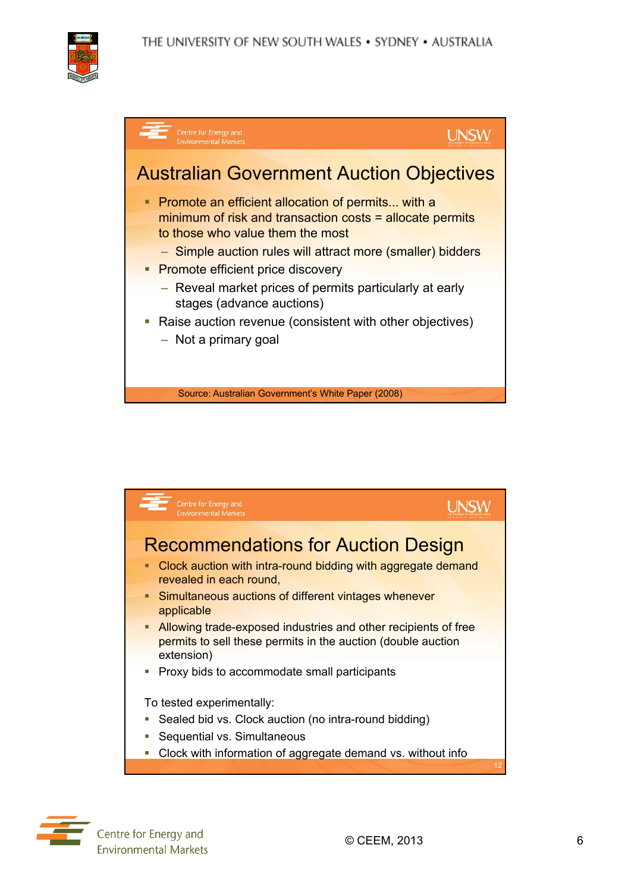





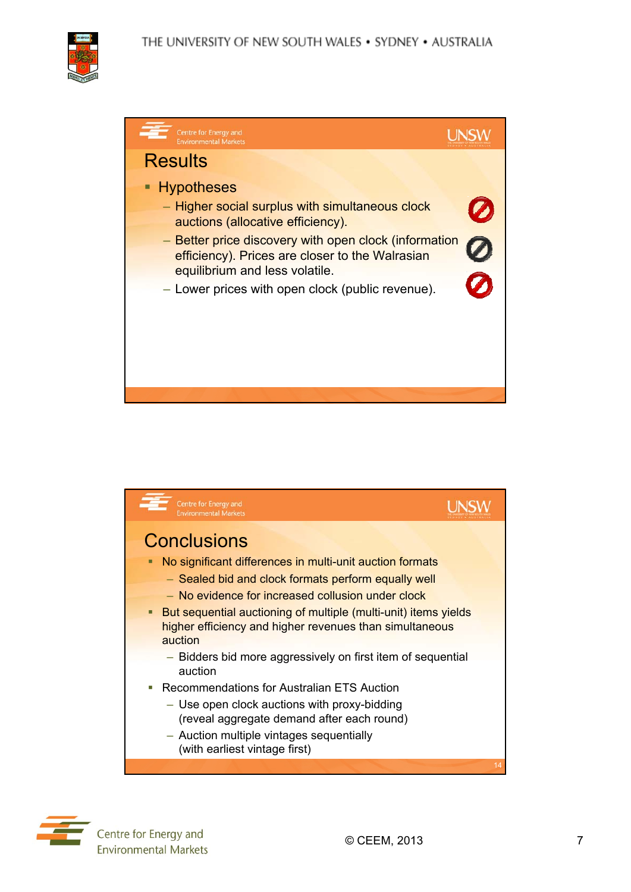